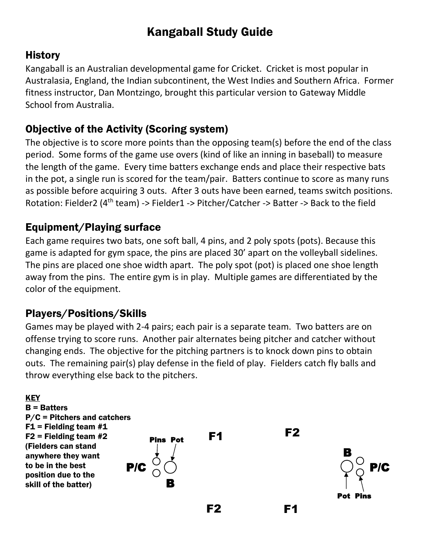# Kangaball Study Guide

#### **History**

Kangaball is an Australian developmental game for Cricket. Cricket is most popular in Australasia, England, the Indian subcontinent, the West Indies and Southern Africa. Former fitness instructor, Dan Montzingo, brought this particular version to Gateway Middle School from Australia.

### Objective of the Activity (Scoring system)

The objective is to score more points than the opposing team(s) before the end of the class period. Some forms of the game use overs (kind of like an inning in baseball) to measure the length of the game. Every time batters exchange ends and place their respective bats in the pot, a single run is scored for the team/pair. Batters continue to score as many runs as possible before acquiring 3 outs. After 3 outs have been earned, teams switch positions. Rotation: Fielder2 (4<sup>th</sup> team) -> Fielder1 -> Pitcher/Catcher -> Batter -> Back to the field

#### Equipment/Playing surface

Each game requires two bats, one soft ball, 4 pins, and 2 poly spots (pots). Because this game is adapted for gym space, the pins are placed 30' apart on the volleyball sidelines. The pins are placed one shoe width apart. The poly spot (pot) is placed one shoe length away from the pins. The entire gym is in play. Multiple games are differentiated by the color of the equipment.

#### Players/Positions/Skills

Games may be played with 2-4 pairs; each pair is a separate team. Two batters are on offense trying to score runs. Another pair alternates being pitcher and catcher without changing ends. The objective for the pitching partners is to knock down pins to obtain outs. The remaining pair(s) play defense in the field of play. Fielders catch fly balls and throw everything else back to the pitchers.